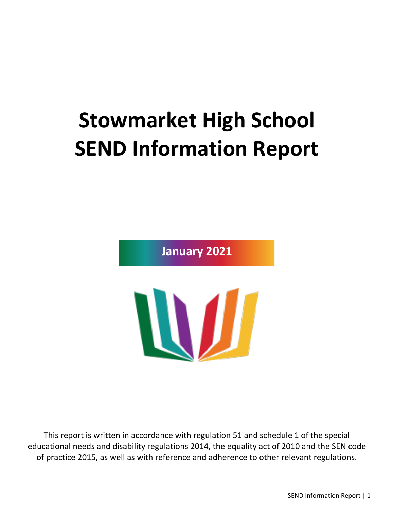# **Stowmarket High School SEND Information Report**

**January 2021**

W

This report is written in accordance with regulation 51 and schedule 1 of the special educational needs and disability regulations 2014, the equality act of 2010 and the SEN code of practice 2015, as well as with reference and adherence to other relevant regulations.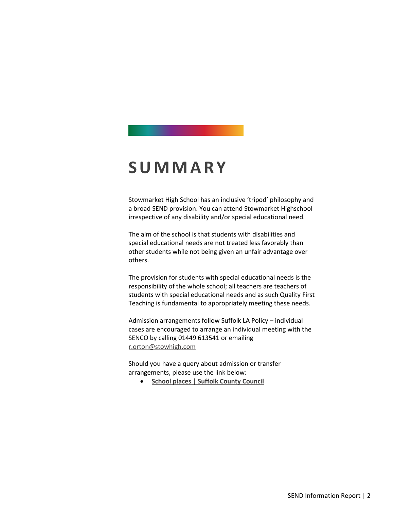#### **S U M M A R Y**

Stowmarket High School has an inclusive 'tripod' philosophy and a broad SEND provision. You can attend Stowmarket Highschool irrespective of any disability and/or special educational need.

The aim of the school is that students with disabilities and special educational needs are not treated less favorably than other students while not being given an unfair advantage over others.

The provision for students with special educational needs is the responsibility of the whole school; all teachers are teachers of students with special educational needs and as such Quality First Teaching is fundamental to appropriately meeting these needs.

Admission arrangements follow Suffolk LA Policy – individual cases are encouraged to arrange an individual meeting with the SENCO by calling 01449 613541 or emailing [r.orton@stowhigh.com](mailto:r.orton@stowhigh.com)

Should you have a query about admission or transfer arrangements, please use the link below:

• **[School places | Suffolk County Council](https://www.suffolk.gov.uk/children-families-and-learning/schools/school-places/)**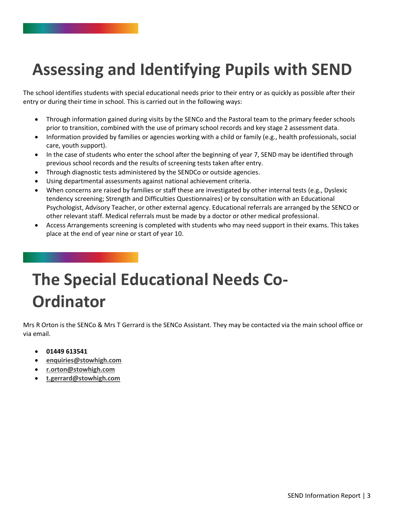#### **Assessing and Identifying Pupils with SEND**

The school identifies students with special educational needs prior to their entry or as quickly as possible after their entry or during their time in school. This is carried out in the following ways:

- Through information gained during visits by the SENCo and the Pastoral team to the primary feeder schools prior to transition, combined with the use of primary school records and key stage 2 assessment data.
- Information provided by families or agencies working with a child or family (e.g., health professionals, social care, youth support).
- In the case of students who enter the school after the beginning of year 7, SEND may be identified through previous school records and the results of screening tests taken after entry.
- Through diagnostic tests administered by the SENDCo or outside agencies.
- Using departmental assessments against national achievement criteria.
- When concerns are raised by families or staff these are investigated by other internal tests (e.g., Dyslexic tendency screening; Strength and Difficulties Questionnaires) or by consultation with an Educational Psychologist, Advisory Teacher, or other external agency. Educational referrals are arranged by the SENCO or other relevant staff. Medical referrals must be made by a doctor or other medical professional.
- Access Arrangements screening is completed with students who may need support in their exams. This takes place at the end of year nine or start of year 10.

## **The Special Educational Needs Co-Ordinator**

Mrs R Orton is the SENCo & Mrs T Gerrard is the SENCo Assistant. They may be contacted via the main school office or via email.

- **01449 613541**
- **[enquiries@stowhigh.com](mailto:enquiries@stowhigh.com)**
- **[r.orton@stowhigh.com](mailto:r.orton@stowhigh.com)**
- **[t.gerrard@stowhigh.com](mailto:t.gerrard@stowhigh.com)**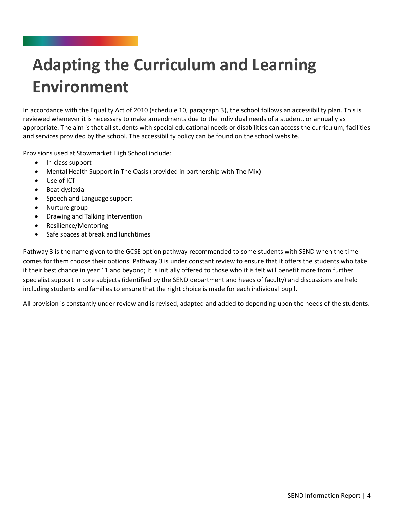# **Adapting the Curriculum and Learning Environment**

In accordance with the Equality Act of 2010 (schedule 10, paragraph 3), the school follows an accessibility plan. This is reviewed whenever it is necessary to make amendments due to the individual needs of a student, or annually as appropriate. The aim is that all students with special educational needs or disabilities can access the curriculum, facilities and services provided by the school. The accessibility policy can be found on the school website.

Provisions used at Stowmarket High School include:

- In-class support
- Mental Health Support in The Oasis (provided in partnership with The Mix)
- Use of ICT
- Beat dyslexia
- Speech and Language support
- Nurture group
- Drawing and Talking Intervention
- Resilience/Mentoring
- Safe spaces at break and lunchtimes

Pathway 3 is the name given to the GCSE option pathway recommended to some students with SEND when the time comes for them choose their options. Pathway 3 is under constant review to ensure that it offers the students who take it their best chance in year 11 and beyond; It is initially offered to those who it is felt will benefit more from further specialist support in core subjects (identified by the SEND department and heads of faculty) and discussions are held including students and families to ensure that the right choice is made for each individual pupil.

All provision is constantly under review and is revised, adapted and added to depending upon the needs of the students.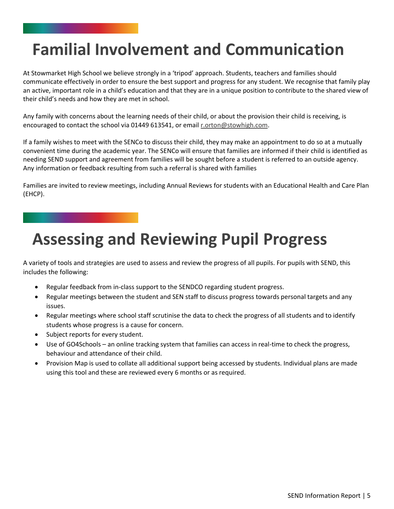#### **Familial Involvement and Communication**

At Stowmarket High School we believe strongly in a 'tripod' approach. Students, teachers and families should communicate effectively in order to ensure the best support and progress for any student. We recognise that family play an active, important role in a child's education and that they are in a unique position to contribute to the shared view of their child's needs and how they are met in school.

Any family with concerns about the learning needs of their child, or about the provision their child is receiving, is encouraged to contact the school via 01449 613541, or emai[l r.orton@stowhigh.com.](mailto:r.orton@stowhigh.com)

If a family wishes to meet with the SENCo to discuss their child, they may make an appointment to do so at a mutually convenient time during the academic year. The SENCo will ensure that families are informed if their child is identified as needing SEND support and agreement from families will be sought before a student is referred to an outside agency. Any information or feedback resulting from such a referral is shared with families

Families are invited to review meetings, including Annual Reviews for students with an Educational Health and Care Plan (EHCP).

#### **Assessing and Reviewing Pupil Progress**

A variety of tools and strategies are used to assess and review the progress of all pupils. For pupils with SEND, this includes the following:

- Regular feedback from in-class support to the SENDCO regarding student progress.
- Regular meetings between the student and SEN staff to discuss progress towards personal targets and any issues.
- Regular meetings where school staff scrutinise the data to check the progress of all students and to identify students whose progress is a cause for concern.
- Subject reports for every student.
- Use of GO4Schools an online tracking system that families can access in real-time to check the progress, behaviour and attendance of their child.
- Provision Map is used to collate all additional support being accessed by students. Individual plans are made using this tool and these are reviewed every 6 months or as required.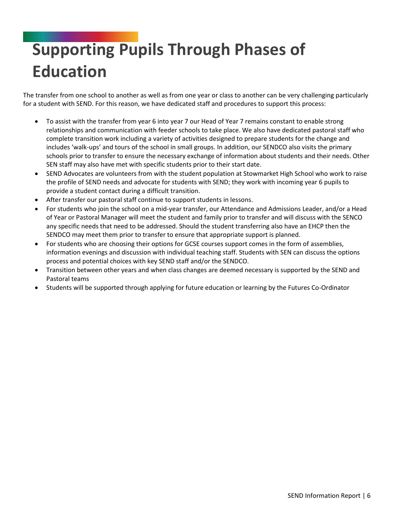# **Supporting Pupils Through Phases of Education**

The transfer from one school to another as well as from one year or class to another can be very challenging particularly for a student with SEND. For this reason, we have dedicated staff and procedures to support this process:

- To assist with the transfer from year 6 into year 7 our Head of Year 7 remains constant to enable strong relationships and communication with feeder schools to take place. We also have dedicated pastoral staff who complete transition work including a variety of activities designed to prepare students for the change and includes 'walk-ups' and tours of the school in small groups. In addition, our SENDCO also visits the primary schools prior to transfer to ensure the necessary exchange of information about students and their needs. Other SEN staff may also have met with specific students prior to their start date.
- SEND Advocates are volunteers from with the student population at Stowmarket High School who work to raise the profile of SEND needs and advocate for students with SEND; they work with incoming year 6 pupils to provide a student contact during a difficult transition.
- After transfer our pastoral staff continue to support students in lessons.
- For students who join the school on a mid-year transfer, our Attendance and Admissions Leader, and/or a Head of Year or Pastoral Manager will meet the student and family prior to transfer and will discuss with the SENCO any specific needs that need to be addressed. Should the student transferring also have an EHCP then the SENDCO may meet them prior to transfer to ensure that appropriate support is planned.
- For students who are choosing their options for GCSE courses support comes in the form of assemblies, information evenings and discussion with individual teaching staff. Students with SEN can discuss the options process and potential choices with key SEND staff and/or the SENDCO.
- Transition between other years and when class changes are deemed necessary is supported by the SEND and Pastoral teams
- Students will be supported through applying for future education or learning by the Futures Co-Ordinator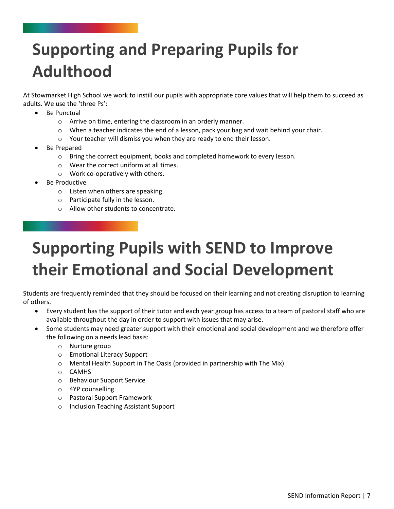# **Supporting and Preparing Pupils for Adulthood**

At Stowmarket High School we work to instill our pupils with appropriate core values that will help them to succeed as adults. We use the 'three Ps':

- Be Punctual
	- o Arrive on time, entering the classroom in an orderly manner.
	- o When a teacher indicates the end of a lesson, pack your bag and wait behind your chair.
	- o Your teacher will dismiss you when they are ready to end their lesson.
- Be Prepared
	- o Bring the correct equipment, books and completed homework to every lesson.
	- o Wear the correct uniform at all times.
	- o Work co-operatively with others.
- Be Productive
	- o Listen when others are speaking.
	- o Participate fully in the lesson.
	- o Allow other students to concentrate.

# **Supporting Pupils with SEND to Improve their Emotional and Social Development**

Students are frequently reminded that they should be focused on their learning and not creating disruption to learning of others.

- Every student has the support of their tutor and each year group has access to a team of pastoral staff who are available throughout the day in order to support with issues that may arise.
- Some students may need greater support with their emotional and social development and we therefore offer the following on a needs lead basis:
	- o Nurture group
	- o Emotional Literacy Support
	- $\circ$  Mental Health Support in The Oasis (provided in partnership with The Mix)
	- o CAMHS
	- o Behaviour Support Service
	- o 4YP counselling
	- o Pastoral Support Framework
	- o Inclusion Teaching Assistant Support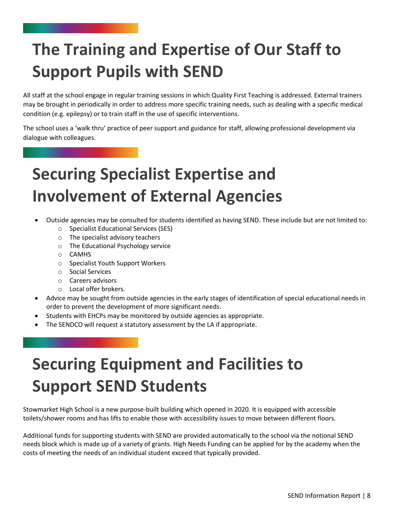## **The Training and Expertise of Our Staff to Support Pupils with SEND**

All staff at the school engage in regular training sessions in which Quality First Teaching is addressed. External trainers may be brought in periodically in order to address more specific training needs, such as dealing with a specific medical condition (e.g. epilepsy) or to train staff in the use of specific interventions.

The school uses a 'walk thru' practice of peer support and guidance for staff, allowing professional development via dialogue with colleagues.

## **Securing Specialist Expertise and Involvement of External Agencies**

- Outside agencies may be consulted for students identified as having SEND. These include but are not limited to:
	- o Specialist Educational Services (SES)
	- o The specialist advisory teachers
	- o The Educational Psychology service
	- o CAMHS
	- o Specialist Youth Support Workers
	- o Social Services
	- o Careers advisors
	- o Local offer brokers.
- Advice may be sought from outside agencies in the early stages of identification of special educational needs in order to prevent the development of more significant needs.
- Students with EHCPs may be monitored by outside agencies as appropriate.
- The SENDCO will request a statutory assessment by the LA if appropriate.

### **Securing Equipment and Facilities to Support SEND Students**

Stowmarket High School is a new purpose-built building which opened in 2020. It is equipped with accessible toilets/shower rooms and has lifts to enable those with accessibility issues to move between different floors.

Additional funds for supporting students with SEND are provided automatically to the school via the notional SEND needs block which is made up of a variety of grants. High Needs Funding can be applied for by the academy when the costs of meeting the needs of an individual student exceed that typically provided.